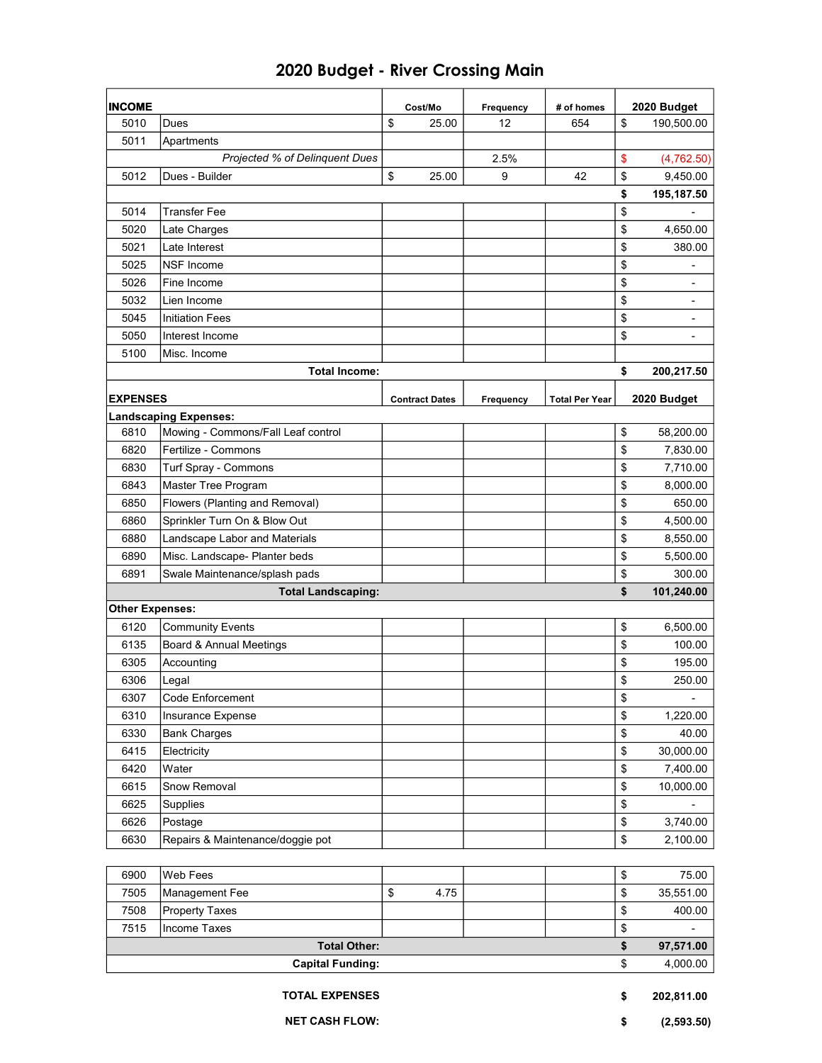| <b>INCOME</b>           |                                    |    | Cost/Mo               | Frequency | # of homes            | 2020 Budget                    |
|-------------------------|------------------------------------|----|-----------------------|-----------|-----------------------|--------------------------------|
| 5010                    | Dues                               | \$ | 25.00                 | 12        | 654                   | \$<br>190,500.00               |
| 5011                    | Apartments                         |    |                       |           |                       |                                |
|                         | Projected % of Delinquent Dues     |    |                       | 2.5%      |                       | \$<br>(4,762.50)               |
| 5012                    | Dues - Builder                     | \$ | 25.00                 | 9         | 42                    | \$<br>9,450.00                 |
|                         |                                    |    |                       |           |                       | \$<br>195,187.50               |
| 5014                    | <b>Transfer Fee</b>                |    |                       |           |                       | \$                             |
| 5020                    | Late Charges                       |    |                       |           |                       | \$<br>4,650.00                 |
| 5021                    | Late Interest                      |    |                       |           |                       | \$<br>380.00                   |
| 5025                    | <b>NSF Income</b>                  |    |                       |           |                       | \$                             |
| 5026                    | Fine Income                        |    |                       |           |                       | \$                             |
| 5032                    | Lien Income                        |    |                       |           |                       | \$                             |
| 5045                    | <b>Initiation Fees</b>             |    |                       |           |                       | \$<br>$\overline{\phantom{a}}$ |
| 5050                    | Interest Income                    |    |                       |           |                       | \$<br>$\overline{\phantom{a}}$ |
| 5100                    | Misc. Income                       |    |                       |           |                       |                                |
|                         | <b>Total Income:</b>               |    |                       |           |                       | \$<br>200,217.50               |
| <b>EXPENSES</b>         |                                    |    | <b>Contract Dates</b> | Frequency | <b>Total Per Year</b> | 2020 Budget                    |
|                         | <b>Landscaping Expenses:</b>       |    |                       |           |                       |                                |
| 6810                    | Mowing - Commons/Fall Leaf control |    |                       |           |                       | \$<br>58,200.00                |
| 6820                    | Fertilize - Commons                |    |                       |           |                       | \$<br>7,830.00                 |
| 6830                    | Turf Spray - Commons               |    |                       |           |                       | \$<br>7,710.00                 |
| 6843                    | Master Tree Program                |    |                       |           |                       | \$<br>8,000.00                 |
| 6850                    | Flowers (Planting and Removal)     |    |                       |           |                       | \$<br>650.00                   |
| 6860                    | Sprinkler Turn On & Blow Out       |    |                       |           |                       | \$<br>4,500.00                 |
| 6880                    | Landscape Labor and Materials      |    |                       |           |                       | \$<br>8,550.00                 |
| 6890                    | Misc. Landscape- Planter beds      |    |                       |           |                       | \$<br>5,500.00                 |
| 6891                    | Swale Maintenance/splash pads      |    |                       |           |                       | \$<br>300.00                   |
|                         | <b>Total Landscaping:</b>          |    |                       |           |                       | \$<br>101,240.00               |
| <b>Other Expenses:</b>  |                                    |    |                       |           |                       |                                |
| 6120                    | <b>Community Events</b>            |    |                       |           |                       | \$<br>6,500.00                 |
| 6135                    | Board & Annual Meetings            |    |                       |           |                       | \$<br>100.00                   |
| 6305                    | Accounting                         |    |                       |           |                       | \$<br>195.00                   |
| 6306                    | Legal                              |    |                       |           |                       | \$<br>250.00                   |
| 6307                    | Code Enforcement                   |    |                       |           |                       | \$<br>$\overline{\phantom{a}}$ |
| 6310                    | Insurance Expense                  |    |                       |           |                       | \$<br>1,220.00                 |
| 6330                    | <b>Bank Charges</b>                |    |                       |           |                       | \$<br>40.00                    |
| 6415                    | Electricity                        |    |                       |           |                       | \$<br>30,000.00                |
| 6420                    | Water                              |    |                       |           |                       | \$<br>7,400.00                 |
| 6615                    | Snow Removal                       |    |                       |           |                       | \$<br>10,000.00                |
| 6625                    | Supplies                           |    |                       |           |                       | \$                             |
| 6626                    | Postage                            |    |                       |           |                       | \$<br>3,740.00                 |
| 6630                    | Repairs & Maintenance/doggie pot   |    |                       |           |                       | \$<br>2,100.00                 |
|                         |                                    |    |                       |           |                       |                                |
| 6900                    | Web Fees                           |    |                       |           |                       | \$<br>75.00                    |
| 7505                    | Management Fee                     | \$ | 4.75                  |           |                       | \$<br>35,551.00                |
| 7508                    | <b>Property Taxes</b>              |    |                       |           |                       | \$<br>400.00                   |
| 7515                    | Income Taxes                       |    |                       |           |                       | \$                             |
|                         | <b>Total Other:</b>                |    |                       |           |                       | \$<br>97,571.00                |
| <b>Capital Funding:</b> |                                    |    |                       |           | \$<br>4,000.00        |                                |
|                         |                                    |    |                       |           |                       |                                |
| <b>TOTAL EXPENSES</b>   |                                    |    |                       |           |                       | \$<br>202,811.00               |

## 2020 Budget - River Crossing Main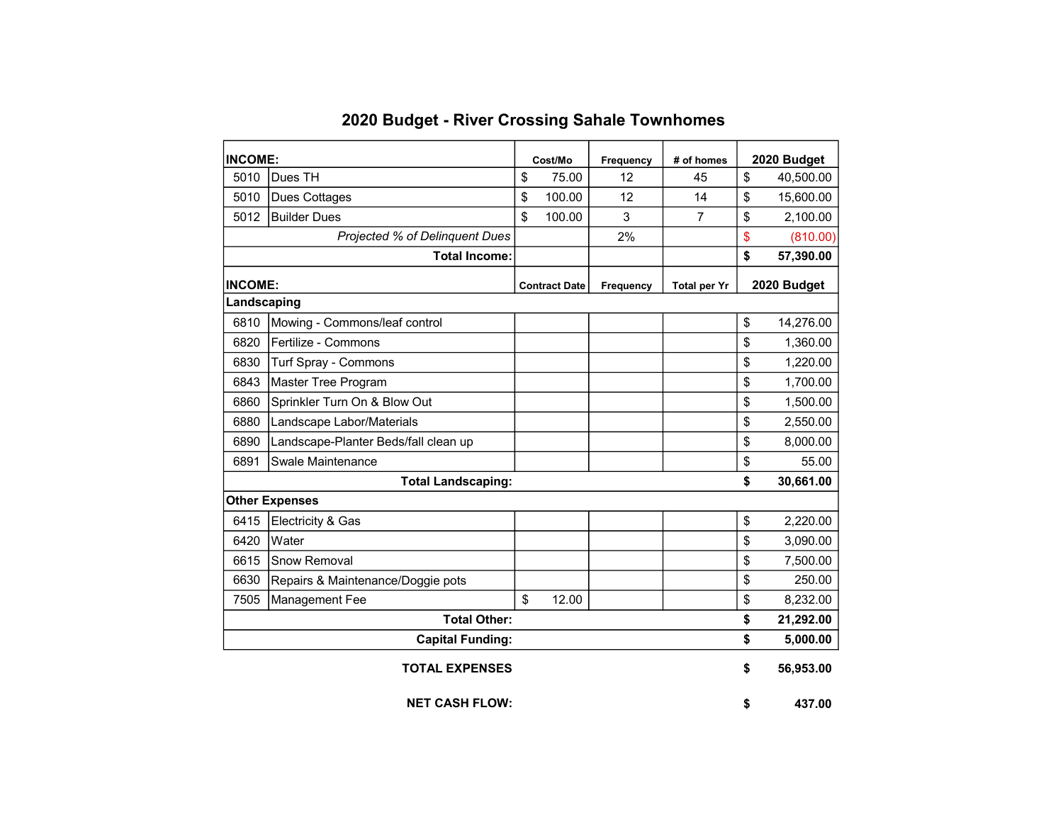| <b>INCOME:</b>                 |                                      | Cost/Mo |                      | Frequency | # of homes          | 2020 Budget |             |
|--------------------------------|--------------------------------------|---------|----------------------|-----------|---------------------|-------------|-------------|
| 5010                           | Dues TH                              | \$      | 75.00                | 12        | 45                  | \$          | 40,500.00   |
| 5010                           | Dues Cottages                        | \$      | 100.00               | 12        | 14                  | \$          | 15,600.00   |
| 5012                           | <b>Builder Dues</b>                  | \$      | 100.00               | 3         | 7                   | \$          | 2,100.00    |
| Projected % of Delinquent Dues |                                      |         |                      | 2%        |                     | \$          | (810.00)    |
| <b>Total Income:</b>           |                                      |         |                      |           |                     | \$          | 57,390.00   |
| <b>INCOME:</b>                 |                                      |         | <b>Contract Date</b> | Frequency | <b>Total per Yr</b> |             | 2020 Budget |
| Landscaping                    |                                      |         |                      |           |                     |             |             |
| 6810                           | Mowing - Commons/leaf control        |         |                      |           |                     | \$          | 14,276.00   |
| 6820                           | Fertilize - Commons                  |         |                      |           |                     | \$          | 1,360.00    |
| 6830                           | Turf Spray - Commons                 |         |                      |           |                     | \$          | 1,220.00    |
| 6843                           | Master Tree Program                  |         |                      |           |                     | \$          | 1,700.00    |
| 6860                           | Sprinkler Turn On & Blow Out         |         |                      |           |                     | \$          | 1,500.00    |
| 6880                           | Landscape Labor/Materials            |         |                      |           |                     | \$          | 2,550.00    |
| 6890                           | Landscape-Planter Beds/fall clean up |         |                      |           |                     | \$          | 8,000.00    |
| 6891                           | Swale Maintenance                    |         |                      |           |                     | \$          | 55.00       |
| <b>Total Landscaping:</b>      |                                      |         |                      |           |                     | \$          | 30,661.00   |
|                                | <b>Other Expenses</b>                |         |                      |           |                     |             |             |
| 6415                           | Electricity & Gas                    |         |                      |           |                     | \$          | 2,220.00    |
| 6420                           | Water                                |         |                      |           |                     | \$          | 3,090.00    |
| 6615                           | Snow Removal                         |         |                      |           |                     | \$          | 7,500.00    |
| 6630                           | Repairs & Maintenance/Doggie pots    |         |                      |           |                     | \$          | 250.00      |
| 7505                           | Management Fee                       | \$      | 12.00                |           |                     | \$          | 8,232.00    |
| <b>Total Other:</b>            |                                      |         |                      |           |                     | \$          | 21,292.00   |
| <b>Capital Funding:</b>        |                                      |         |                      |           | \$                  | 5,000.00    |             |
|                                | <b>TOTAL EXPENSES</b>                |         |                      |           |                     | \$          | 56,953.00   |
| <b>NET CASH FLOW:</b>          |                                      |         |                      |           |                     | \$          | 437.00      |

## 2020 Budget - River Crossing Sahale Townhomes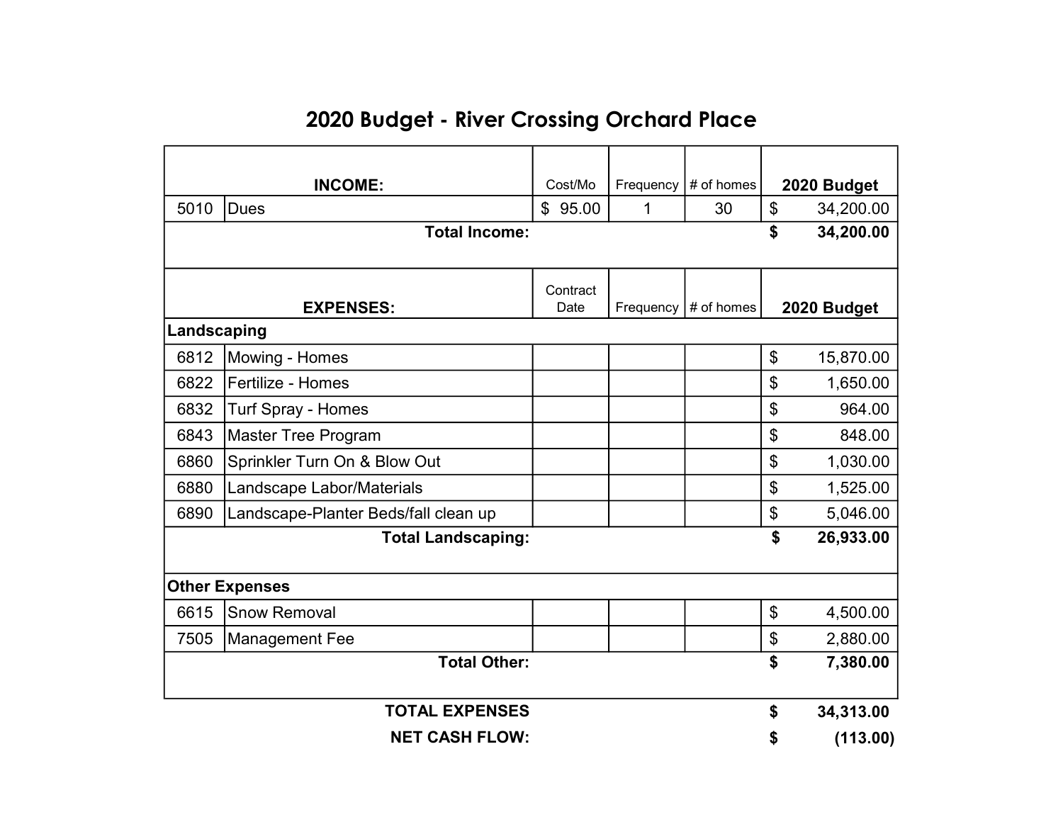## 2020 Budget - River Crossing Orchard Place

| <b>INCOME:</b>            |                                      | Cost/Mo  | Frequency | # of homes | 2020 Budget           |           |  |  |
|---------------------------|--------------------------------------|----------|-----------|------------|-----------------------|-----------|--|--|
| 5010                      | <b>Dues</b>                          | \$95.00  | 1         | 30         | \$<br>34,200.00       |           |  |  |
|                           | <b>Total Income:</b>                 |          |           |            | \$                    | 34,200.00 |  |  |
|                           |                                      |          |           |            |                       |           |  |  |
|                           |                                      | Contract |           |            |                       |           |  |  |
|                           | <b>EXPENSES:</b>                     | Date     | Frequency | # of homes | 2020 Budget           |           |  |  |
| Landscaping               |                                      |          |           |            |                       |           |  |  |
| 6812                      | Mowing - Homes                       |          |           |            | \$                    | 15,870.00 |  |  |
| 6822                      | Fertilize - Homes                    |          |           |            | \$                    | 1,650.00  |  |  |
| 6832                      | <b>Turf Spray - Homes</b>            |          |           |            | \$                    | 964.00    |  |  |
| 6843                      | <b>Master Tree Program</b>           |          |           |            | \$                    | 848.00    |  |  |
| 6860                      | Sprinkler Turn On & Blow Out         |          |           |            | \$                    | 1,030.00  |  |  |
| 6880                      | Landscape Labor/Materials            |          |           |            | \$                    | 1,525.00  |  |  |
| 6890                      | Landscape-Planter Beds/fall clean up |          |           |            | \$                    | 5,046.00  |  |  |
| <b>Total Landscaping:</b> |                                      |          |           |            |                       | 26,933.00 |  |  |
|                           |                                      |          |           |            |                       |           |  |  |
| <b>Other Expenses</b>     |                                      |          |           |            |                       |           |  |  |
| 6615                      | <b>Snow Removal</b>                  |          |           |            | $\boldsymbol{\theta}$ | 4,500.00  |  |  |
| 7505                      | <b>Management Fee</b>                |          |           |            | \$                    | 2,880.00  |  |  |
| <b>Total Other:</b>       |                                      |          |           |            | \$                    | 7,380.00  |  |  |
| <b>TOTAL EXPENSES</b>     |                                      |          |           |            | \$                    | 34,313.00 |  |  |
| <b>NET CASH FLOW:</b>     |                                      |          |           |            | \$                    | (113.00)  |  |  |